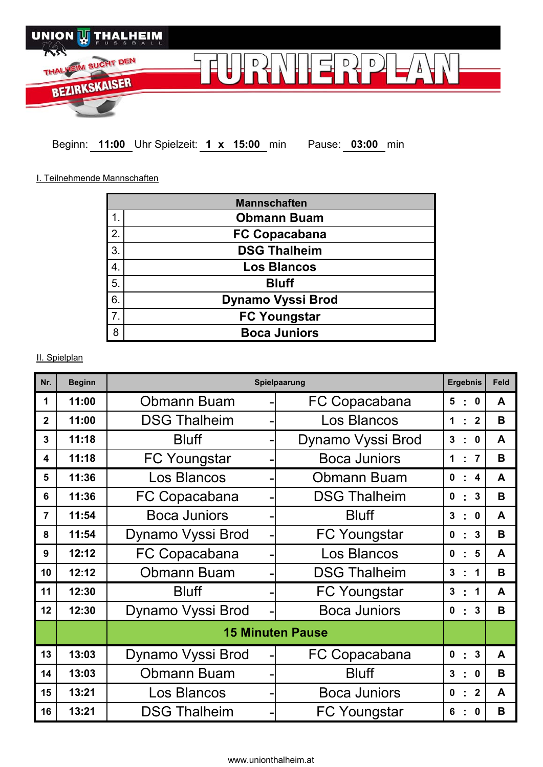

**Beginn: 11:00 Uhr Spielzeit: 1 x 15:00 min Pause: 03:00 min** 

I. Teilnehmende Mannschaften

|                  | <b>Mannschaften</b>      |
|------------------|--------------------------|
| 1.               | <b>Obmann Buam</b>       |
| $\overline{2}$ . | <b>FC Copacabana</b>     |
| 3.               | <b>DSG Thalheim</b>      |
| 4.               | <b>Los Blancos</b>       |
| 5.               | <b>Bluff</b>             |
| 6.               | <b>Dynamo Vyssi Brod</b> |
| $\overline{7}$ . | <b>FC Youngstar</b>      |
| 8                | <b>Boca Juniors</b>      |

## II. Spielplan

| Nr.            | <b>Beginn</b> | Spielpaarung            |  |                     | <b>Ergebnis</b> |                         |                  | Feld |
|----------------|---------------|-------------------------|--|---------------------|-----------------|-------------------------|------------------|------|
| 1              | 11:00         | <b>Obmann Buam</b>      |  | FC Copacabana       |                 | $\mathcal{L}$           | $\mathbf 0$      | A    |
| $\overline{2}$ | 11:00         | <b>DSG Thalheim</b>     |  | Los Blancos         | $\mathbf 1$     | $\blacksquare$          | $\overline{2}$   | B    |
| 3              | 11:18         | <b>Bluff</b>            |  | Dynamo Vyssi Brod   | $\mathbf{3}$    |                         | $\mathbf{0}$     | A    |
| 4              | 11:18         | <b>FC Youngstar</b>     |  | <b>Boca Juniors</b> |                 | ٠                       | $\overline{7}$   | B    |
| 5              | 11:36         | Los Blancos             |  | Obmann Buam         |                 | ٠                       | $\boldsymbol{4}$ | A    |
| 6              | 11:36         | FC Copacabana           |  | <b>DSG Thalheim</b> |                 | ٠                       | 3                | B    |
| $\overline{7}$ | 11:54         | <b>Boca Juniors</b>     |  | <b>Bluff</b>        | 3               | ٠                       | $\mathbf{0}$     | A    |
| 8              | 11:54         | Dynamo Vyssi Brod       |  | <b>FC Youngstar</b> | $\mathbf 0$     | ٠                       | 3                | B    |
| 9              | 12:12         | FC Copacabana           |  | Los Blancos         |                 | ÷                       | 5                | A    |
| 10             | 12:12         | <b>Obmann Buam</b>      |  | <b>DSG Thalheim</b> |                 | ٠                       | 1                | B    |
| 11             | 12:30         | <b>Bluff</b>            |  | <b>FC Youngstar</b> |                 | ٠                       | 1                | A    |
| 12             | 12:30         | Dynamo Vyssi Brod       |  | <b>Boca Juniors</b> |                 | t                       | 3                | B    |
|                |               | <b>15 Minuten Pause</b> |  |                     |                 |                         |                  |      |
| 13             | 13:03         | Dynamo Vyssi Brod       |  | FC Copacabana       | $\mathbf 0$     | $\overline{\mathbb{Z}}$ | 3                | A    |
| 14             | 13:03         | <b>Obmann Buam</b>      |  | <b>Bluff</b>        |                 | t                       | $\mathbf 0$      | B    |
| 15             | 13:21         | Los Blancos             |  | <b>Boca Juniors</b> |                 | t                       | $\overline{2}$   | A    |
| 16             | 13:21         | <b>DSG Thalheim</b>     |  | <b>FC Youngstar</b> |                 |                         | $\mathbf 0$      | B    |